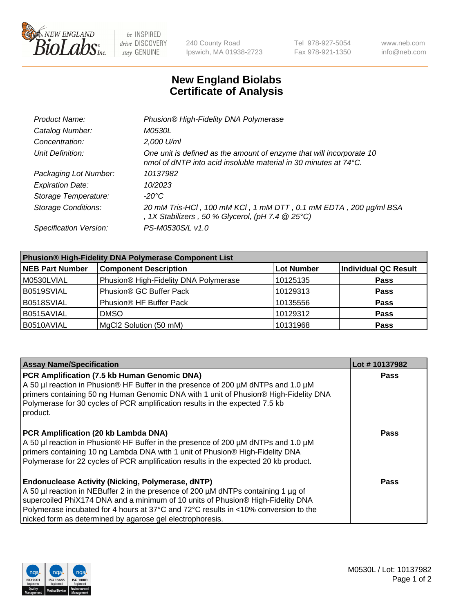

be INSPIRED drive DISCOVERY stay GENUINE

240 County Road Ipswich, MA 01938-2723 Tel 978-927-5054 Fax 978-921-1350 www.neb.com info@neb.com

## **New England Biolabs Certificate of Analysis**

| Phusion® High-Fidelity DNA Polymerase                                                                                                              |
|----------------------------------------------------------------------------------------------------------------------------------------------------|
| <i>M0530L</i>                                                                                                                                      |
| 2,000 U/ml                                                                                                                                         |
| One unit is defined as the amount of enzyme that will incorporate 10<br>nmol of dNTP into acid insoluble material in 30 minutes at $74^{\circ}$ C. |
| 10137982                                                                                                                                           |
| 10/2023                                                                                                                                            |
| -20°C                                                                                                                                              |
| 20 mM Tris-HCl, 100 mM KCl, 1 mM DTT, 0.1 mM EDTA, 200 µg/ml BSA<br>, 1X Stabilizers, 50 % Glycerol, (pH 7.4 $@25°C$ )                             |
| PS-M0530S/L v1.0                                                                                                                                   |
|                                                                                                                                                    |

| <b>Phusion® High-Fidelity DNA Polymerase Component List</b> |                                       |                   |                             |  |
|-------------------------------------------------------------|---------------------------------------|-------------------|-----------------------------|--|
| <b>NEB Part Number</b>                                      | <b>Component Description</b>          | <b>Lot Number</b> | <b>Individual QC Result</b> |  |
| M0530LVIAL                                                  | Phusion® High-Fidelity DNA Polymerase | 10125135          | <b>Pass</b>                 |  |
| B0519SVIAL                                                  | Phusion <sup>®</sup> GC Buffer Pack   | 10129313          | <b>Pass</b>                 |  |
| B0518SVIAL                                                  | Phusion® HF Buffer Pack               | 10135556          | <b>Pass</b>                 |  |
| B0515AVIAL                                                  | <b>DMSO</b>                           | 10129312          | <b>Pass</b>                 |  |
| B0510AVIAL                                                  | MgCl2 Solution (50 mM)                | 10131968          | <b>Pass</b>                 |  |

| <b>Assay Name/Specification</b>                                                                                                                                                                                                                                                                                                                                                      | Lot #10137982 |
|--------------------------------------------------------------------------------------------------------------------------------------------------------------------------------------------------------------------------------------------------------------------------------------------------------------------------------------------------------------------------------------|---------------|
| PCR Amplification (7.5 kb Human Genomic DNA)<br>A 50 µl reaction in Phusion® HF Buffer in the presence of 200 µM dNTPs and 1.0 µM<br>primers containing 50 ng Human Genomic DNA with 1 unit of Phusion® High-Fidelity DNA<br>Polymerase for 30 cycles of PCR amplification results in the expected 7.5 kb<br>product.                                                                | <b>Pass</b>   |
| PCR Amplification (20 kb Lambda DNA)<br>A 50 µl reaction in Phusion® HF Buffer in the presence of 200 µM dNTPs and 1.0 µM<br>primers containing 10 ng Lambda DNA with 1 unit of Phusion® High-Fidelity DNA<br>Polymerase for 22 cycles of PCR amplification results in the expected 20 kb product.                                                                                   | Pass          |
| <b>Endonuclease Activity (Nicking, Polymerase, dNTP)</b><br>A 50 µl reaction in NEBuffer 2 in the presence of 200 µM dNTPs containing 1 µg of<br>supercoiled PhiX174 DNA and a minimum of 10 units of Phusion® High-Fidelity DNA<br>Polymerase incubated for 4 hours at 37°C and 72°C results in <10% conversion to the<br>nicked form as determined by agarose gel electrophoresis. | Pass          |